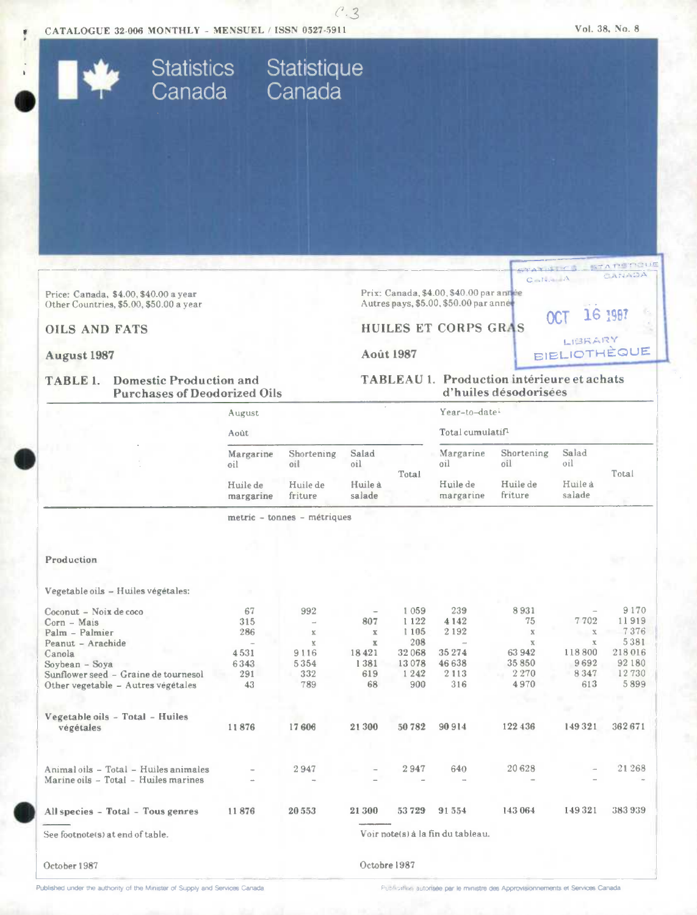



 $C.3$ 

Published under the authority of the Minister of Supply and Services Canada

Publication autorisée par le ministre des Approvisionnements et Services Canada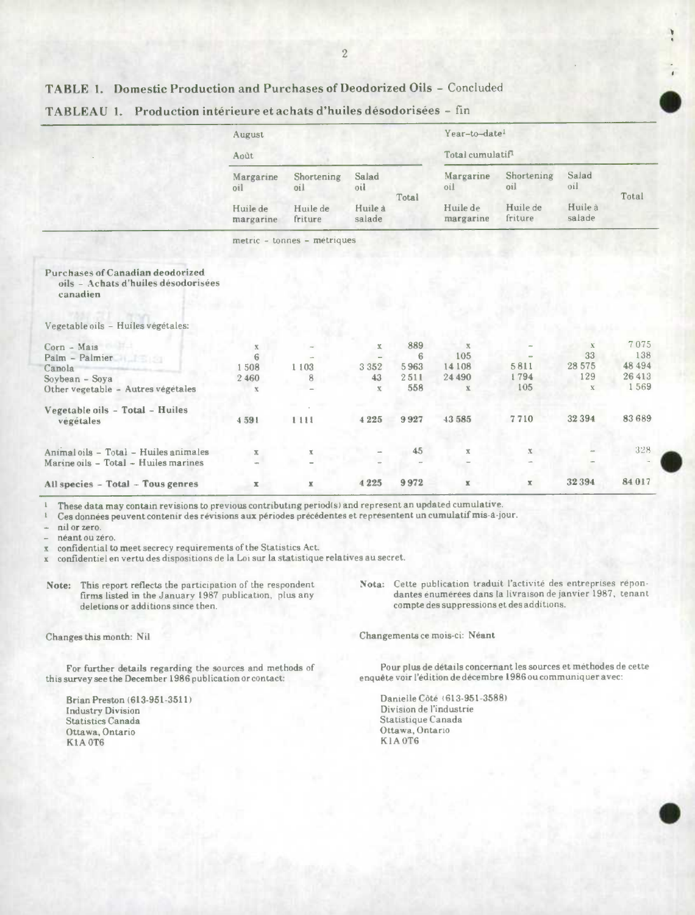### TABLE 1. Domestic Production and Purchases of Deodorized Oils - Concluded

|                                                                                            | August                      |                                          |                                   |                | Year-to-date <sup>1</sup>                 |                                          |                                   |         |
|--------------------------------------------------------------------------------------------|-----------------------------|------------------------------------------|-----------------------------------|----------------|-------------------------------------------|------------------------------------------|-----------------------------------|---------|
|                                                                                            | Août                        |                                          |                                   |                | Total cumulatif <sup>1</sup>              |                                          |                                   |         |
|                                                                                            | Margarine<br>lio            | Shortening<br>oil<br>Huile de<br>friture | Salad<br>oil<br>Huile à<br>salade | Total          | Margarine<br>oil<br>Huile de<br>margarine | Shortening<br>oil<br>Huile de<br>friture | Salad<br>oil<br>Huile à<br>salade | Total   |
|                                                                                            | Huile de<br>margarine       |                                          |                                   |                |                                           |                                          |                                   |         |
|                                                                                            | metric - tonnes - métriques |                                          |                                   |                |                                           |                                          |                                   |         |
| <b>Purchases of Canadian deodorized</b><br>oils - Achats d'huiles désodorisées<br>canadien |                             |                                          |                                   |                |                                           |                                          |                                   |         |
| Vegetable oils - Huiles végétales:                                                         |                             |                                          |                                   |                |                                           |                                          |                                   |         |
| Corn - Mais                                                                                | $\mathbf X$                 |                                          | $\mathbf x$                       | 889            | $\mathbf x$                               |                                          | $\mathbf X$                       | 7075    |
| Palm - Palmier                                                                             | 6                           |                                          |                                   | $\overline{6}$ | 105                                       |                                          | 33                                | 138     |
| Canola                                                                                     | 1508                        | 1103                                     | 3 3 5 2                           | 5963           | 14108                                     | 5811                                     | 28 575                            | 48 4 94 |
| Soybean - Soya                                                                             | 2 4 6 0                     | 8                                        | 43                                | 2511           | 24 490                                    | 1794                                     | 129                               | 26413   |
| Other vegetable - Autres végétales                                                         | $\mathbf X$                 |                                          | $\mathbf{X}$                      | 558            | $\mathbf x$                               | 105                                      | $\mathbf x$                       | 1569    |
| Vegetable oils - Total - Huiles                                                            |                             |                                          |                                   |                |                                           |                                          |                                   |         |
| végétales                                                                                  | 4591                        | 1111                                     | 4 2 2 5                           | 9927           | 43 585                                    | 7710                                     | 32 3 9 4                          | 83689   |
| Animal oils - Total - Huiles animales                                                      | $\overline{\mathbf{A}}$     | $\mathbb{X}$                             |                                   | 45             | х                                         | $\mathbf{X}$                             |                                   | 328     |
| Marine oils - Total - Huiles marines                                                       |                             |                                          |                                   |                |                                           |                                          |                                   |         |
| All species - Total - Tous genres                                                          | $\overline{\mathbf{x}}$     | $\mathbbm{K}$                            | 4 2 2 5                           | 9972           | $\mathbf x$                               | $\mathbf x$                              | 32394                             | 84 017  |

#### TABLEAU 1. Production intérieure et achats d'huiles désodorisées - fin

These data may contain revisions to previous contributing period(s) and represent an updated cumulative.

Ces données peuvent contenir des révisions aux périodes précédentes et représentent un cumulatif mis-à-jour.

nil or zero.

néant ou zéro.

confidential to meet secrecy requirements of the Statistics Act.  $\bar{x}$ 

confidentiel en vertu des dispositions de la Loi sur la statistique relatives au secret.  $\mathbb X$ 

This report reflects the participation of the respondent Note: firms listed in the January 1987 publication, plus any deletions or additions since then.

Changes this month: Nil

For further details regarding the sources and methods of this survey see the December 1986 publication or contact:

Brian Preston (613-951-3511) **Industry Division Statistics Canada** Ottawa, Ontario **K1A0T6** 

Nota: Cette publication traduit l'activité des entreprises répondantes énumérées dans la livraison de janvier 1987, tenant compte des suppressions et des additions.

Changements ce mois-ci: Néant

Pour plus de détails concernant les sources et méthodes de cette enquête voir l'édition de décembre 1986 ou communiquer avec:

Danielle Côté (613-951-3588) Division de l'industrie Statistique Canada Ottawa, Ontario KIA0T6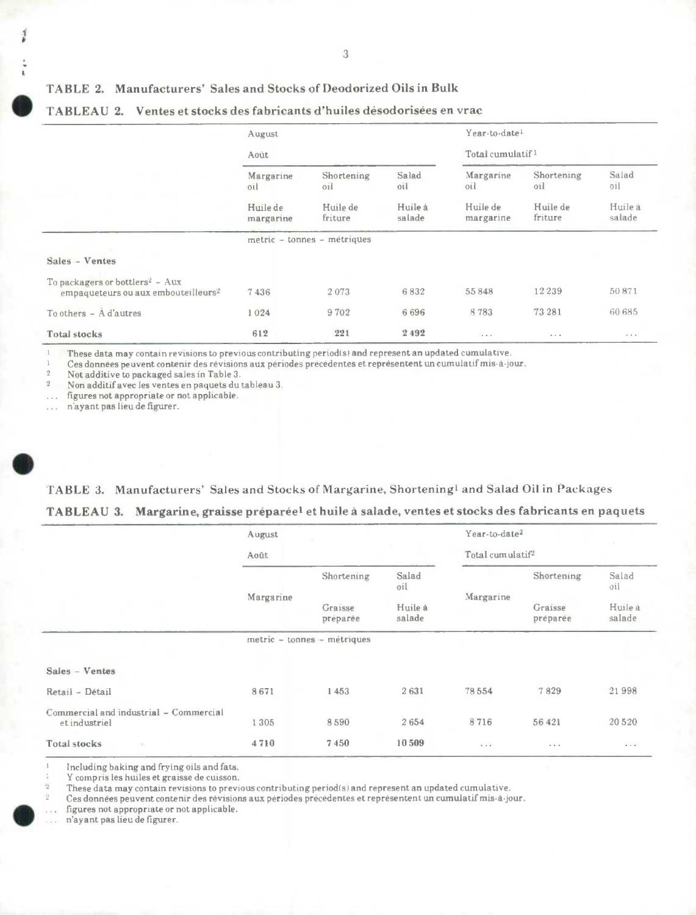#### 3

### TABLE 2. Manufacturers' Sales and Stocks of Deodorized Oils in Bulk

|                                                                                                | August                                    |                                          |                                   | Year-to-date <sup>1</sup>                 |                                          |                                   |  |
|------------------------------------------------------------------------------------------------|-------------------------------------------|------------------------------------------|-----------------------------------|-------------------------------------------|------------------------------------------|-----------------------------------|--|
|                                                                                                | Août                                      |                                          |                                   | Total cumulatif <sup>1</sup>              |                                          |                                   |  |
|                                                                                                | Margarine<br>oil<br>Huile de<br>margarine | Shortening<br>oil<br>Huile de<br>friture | Salad<br>oil<br>Huile à<br>salade | Margarine<br>oil<br>Huile de<br>margarine | Shortening<br>oil<br>Huile de<br>friture | Salad<br>oil<br>Huile à<br>salade |  |
|                                                                                                |                                           |                                          |                                   |                                           |                                          |                                   |  |
|                                                                                                |                                           | metric - tonnes - métriques              |                                   |                                           |                                          |                                   |  |
| Sales - Ventes                                                                                 |                                           |                                          |                                   |                                           |                                          |                                   |  |
| To packagers or bottlers <sup>2</sup> - Aux<br>empaqueteurs ou aux embouteilleurs <sup>2</sup> | 7436                                      | 2073                                     | 6832                              | 55848                                     | 12239                                    | 50871                             |  |
| To others $ \mathbf{\hat{A}}$ d'autres                                                         | 1024                                      | 9702                                     | 6696                              | 8783                                      | 73 281                                   | 60 685                            |  |
| <b>Total stocks</b>                                                                            | 612                                       | 221                                      | 2492                              | $\cdots$                                  | $\mathbf{b}=\mathbf{c}=\mathbf{0}$       | $\cdots$                          |  |

## **S** TABLEAU 2. Ventes et stocks des fabricants d'huiles désodorisées en vrac

These data may contain revisions to previous contributing period(s) and represent an updated cumulative.

Ces données peuvent contenir des revisions aux periodes precedentes et representent un cumulatif mis-a-jour.

2 Not additive to packaged sales in Table 3.<br>2 Non additif avec les ventes en paquets du

<sup>2</sup>Non additif avec les ventes en paquets du tableau 3.

figures not appropriate or not applicable.  $\cdots$ 

... n'ayant pas lieu de figurer.

. TABLE 3. Manufacturers' Sales and Stocks of Margarine, Shortening' and Salad Oil in Packages **TABLEAU 3. Margarine, graisse préparéet et huile** a salade, ventes et stocks des fabricants en paquets

|                                                         | August    |                                   |                                   | Year-to-date <sup>2</sup>    |                                   | $\sim$            |
|---------------------------------------------------------|-----------|-----------------------------------|-----------------------------------|------------------------------|-----------------------------------|-------------------|
|                                                         | Août      |                                   |                                   | Total cumulatif <sup>2</sup> |                                   |                   |
|                                                         | Margarine | Shortening<br>Graisse<br>préparée | Salad<br>oil<br>Huile à<br>salade | Margarine                    | Shortening<br>Graisse<br>préparée | Salad<br>oil      |
|                                                         |           |                                   |                                   |                              |                                   | Huile à<br>salade |
|                                                         |           | metric - tonnes - métriques       |                                   |                              |                                   |                   |
| Sales - Ventes                                          |           |                                   |                                   |                              |                                   |                   |
| Retail - Détail                                         | 8671      | 1453                              | 2631                              | 78554                        | 7829                              | 21998             |
| Commercial and industrial - Commercial<br>et industriel | 1305      | 8590                              | 2654                              | 8716                         | 56 421                            | 20 5 20           |
| <b>Total stocks</b><br>ch.                              | 4710      | 7450                              | 10509                             | $\cdots$                     | $-1$                              | $\cdots$          |

<sup>1</sup>Including baking and frying oils and fats.

Y compris les huiles et graisse de cuisson.

These data may contain revisions to previous contributing period(s) and represent an updated cumulative.

Ces données peuvent contenir des révisions aux périodes précédentes et représentent un cumulatif mis-à-jour.

figures not appropriate or not applicable.

n'ayant pas lieu de figurer.